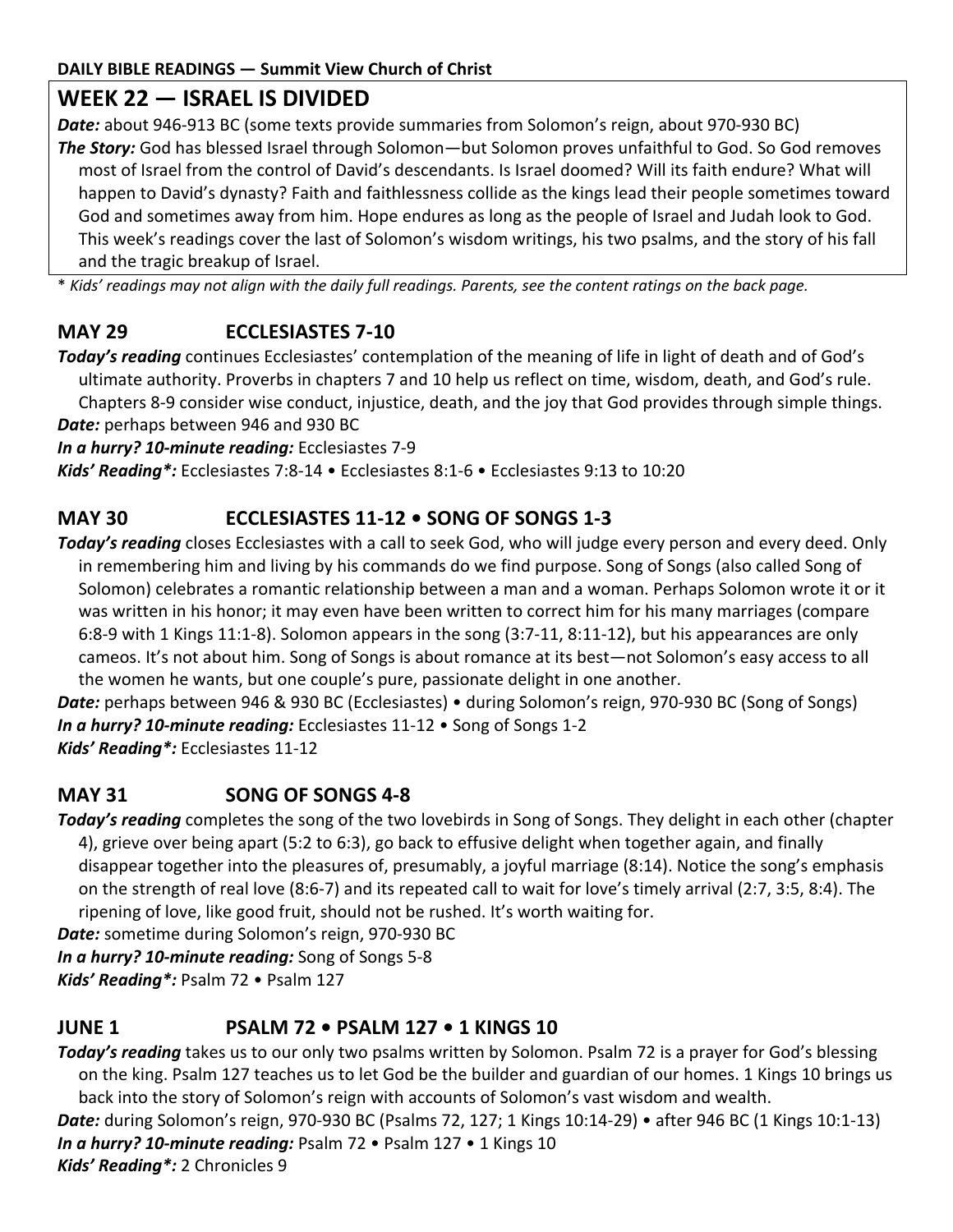# **WEEK 22 — ISRAEL IS DIVIDED**

Date: about 946-913 BC (some texts provide summaries from Solomon's reign, about 970-930 BC) *The Story:* God has blessed Israel through Solomon—but Solomon proves unfaithful to God. So God removes most of Israel from the control of David's descendants. Is Israel doomed? Will its faith endure? What will happen to David's dynasty? Faith and faithlessness collide as the kings lead their people sometimes toward God and sometimes away from him. Hope endures as long as the people of Israel and Judah look to God. This week's readings cover the last of Solomon's wisdom writings, his two psalms, and the story of his fall and the tragic breakup of Israel.

\* *Kids' readings may not align with the daily full readings. Parents, see the content ratings on the back page.*

# **MAY 29 ECCLESIASTES 7-10**

*Today's reading* continues Ecclesiastes' contemplation of the meaning of life in light of death and of God's ultimate authority. Proverbs in chapters 7 and 10 help us reflect on time, wisdom, death, and God's rule. Chapters 8-9 consider wise conduct, injustice, death, and the joy that God provides through simple things. *Date:* perhaps between 946 and 930 BC

*In a hurry? 10-minute reading:* Ecclesiastes 7-9

*Kids' Reading\*:* Ecclesiastes 7:8-14 • Ecclesiastes 8:1-6 • Ecclesiastes 9:13 to 10:20

#### **MAY 30 ECCLESIASTES 11-12 • SONG OF SONGS 1-3**

*Today's reading* closes Ecclesiastes with a call to seek God, who will judge every person and every deed. Only in remembering him and living by his commands do we find purpose. Song of Songs (also called Song of Solomon) celebrates a romantic relationship between a man and a woman. Perhaps Solomon wrote it or it was written in his honor; it may even have been written to correct him for his many marriages (compare 6:8-9 with 1 Kings 11:1-8). Solomon appears in the song (3:7-11, 8:11-12), but his appearances are only cameos. It's not about him. Song of Songs is about romance at its best—not Solomon's easy access to all the women he wants, but one couple's pure, passionate delight in one another.

*Date:* perhaps between 946 & 930 BC (Ecclesiastes) • during Solomon's reign, 970-930 BC (Song of Songs) *In a hurry? 10-minute reading:* Ecclesiastes 11-12 • Song of Songs 1-2 *Kids' Reading\*:* Ecclesiastes 11-12

#### **MAY 31 SONG OF SONGS 4-8**

*Today's reading* completes the song of the two lovebirds in Song of Songs. They delight in each other (chapter 4), grieve over being apart (5:2 to 6:3), go back to effusive delight when together again, and finally disappear together into the pleasures of, presumably, a joyful marriage (8:14). Notice the song's emphasis on the strength of real love (8:6-7) and its repeated call to wait for love's timely arrival (2:7, 3:5, 8:4). The ripening of love, like good fruit, should not be rushed. It's worth waiting for.

*Date:* sometime during Solomon's reign, 970-930 BC

*In a hurry? 10-minute reading:* Song of Songs 5-8

*Kids' Reading\*:* Psalm 72 • Psalm 127

#### **JUNE 1 PSALM 72 • PSALM 127 • 1 KINGS 10**

*Today's reading* takes us to our only two psalms written by Solomon. Psalm 72 is a prayer for God's blessing on the king. Psalm 127 teaches us to let God be the builder and guardian of our homes. 1 Kings 10 brings us back into the story of Solomon's reign with accounts of Solomon's vast wisdom and wealth. *Date:* during Solomon's reign, 970-930 BC (Psalms 72, 127; 1 Kings 10:14-29) • after 946 BC (1 Kings 10:1-13)

*In a hurry? 10-minute reading:* Psalm 72 • Psalm 127 • 1 Kings 10

*Kids' Reading\*:* 2 Chronicles 9